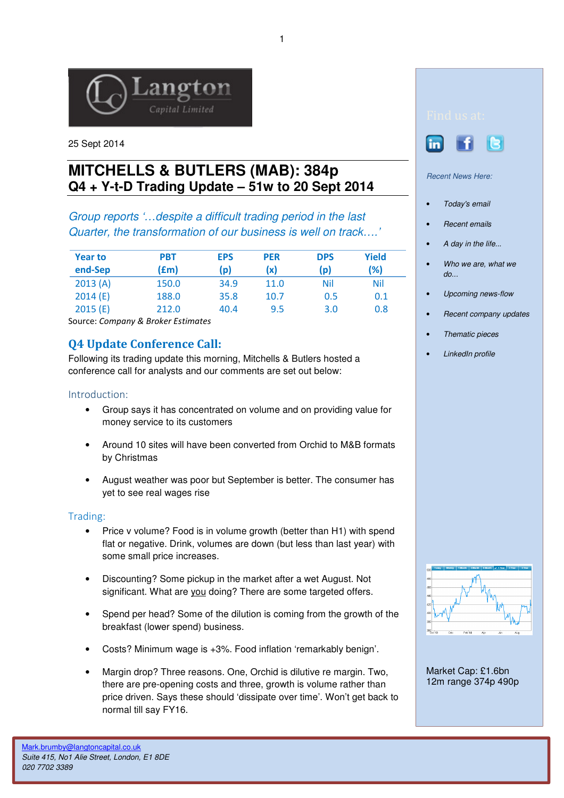

25 Sept 2014

# **MITCHELLS & BUTLERS (MAB): 384p Q4 + Y-t-D Trading Update – 51w to 20 Sept 2014**

Group reports '…despite a difficult trading period in the last Quarter, the transformation of our business is well on track….'

| <b>Year to</b> | <b>PBT</b> | <b>EPS</b> | <b>PER</b> | <b>DPS</b> | Yield |
|----------------|------------|------------|------------|------------|-------|
| end-Sep        | (£m)       | (p)        | (x)        | (p)        | (%)   |
| 2013(A)        | 150.0      | 34.9       | 11.0       | Nil        | Nil   |
| 2014(E)        | 188.0      | 35.8       | 10.7       | 0.5        | 0.1   |
| 2015(E)        | 212.0      | 40.4       | 9.5        | 3.0        | 0.8   |

Source: Company & Broker Estimates

# Q4 Update Conference Call:

Following its trading update this morning, Mitchells & Butlers hosted a conference call for analysts and our comments are set out below:

## Introduction:

- Group says it has concentrated on volume and on providing value for money service to its customers
- Around 10 sites will have been converted from Orchid to M&B formats by Christmas
- August weather was poor but September is better. The consumer has yet to see real wages rise

## Trading:

- Price v volume? Food is in volume growth (better than H1) with spend flat or negative. Drink, volumes are down (but less than last year) with some small price increases.
- Discounting? Some pickup in the market after a wet August. Not significant. What are you doing? There are some targeted offers.
- Spend per head? Some of the dilution is coming from the growth of the breakfast (lower spend) business.
- Costs? Minimum wage is +3%. Food inflation 'remarkably benign'.
- Margin drop? Three reasons. One, Orchid is dilutive re margin. Two, there are pre-opening costs and three, growth is volume rather than price driven. Says these should 'dissipate over time'. Won't get back to normal till say FY16.



#### Recent News Here:

- Today's email
- Recent emails
- A day in the life...
- Who we are, what we do...
- Upcoming news-flow
- Recent company updates
- Thematic pieces
- LinkedIn profile



Market Cap: £1.6bn 12m range 374p 490p